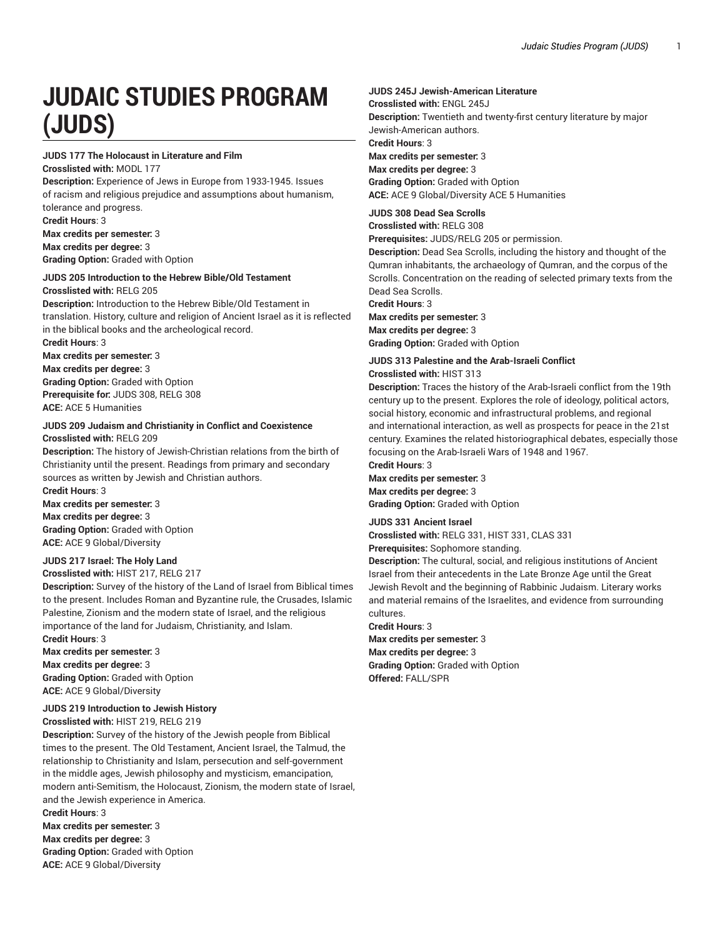# **JUDAIC STUDIES PROGRAM (JUDS)**

## **JUDS 177 The Holocaust in Literature and Film**

**Crosslisted with:** MODL 177 **Description:** Experience of Jews in Europe from 1933-1945. Issues of racism and religious prejudice and assumptions about humanism, tolerance and progress. **Credit Hours**: 3

**Max credits per semester:** 3 **Max credits per degree:** 3 **Grading Option:** Graded with Option

## **JUDS 205 Introduction to the Hebrew Bible/Old Testament**

**Crosslisted with:** RELG 205

**Description:** Introduction to the Hebrew Bible/Old Testament in translation. History, culture and religion of Ancient Israel as it is reflected in the biblical books and the archeological record. **Credit Hours**: 3

**Max credits per semester:** 3 **Max credits per degree:** 3 **Grading Option:** Graded with Option **Prerequisite for:** JUDS 308, RELG 308 **ACE:** ACE 5 Humanities

# **JUDS 209 Judaism and Christianity in Conflict and Coexistence**

**Crosslisted with:** RELG 209

**Description:** The history of Jewish-Christian relations from the birth of Christianity until the present. Readings from primary and secondary sources as written by Jewish and Christian authors. **Credit Hours**: 3

**Max credits per semester:** 3 **Max credits per degree:** 3 **Grading Option:** Graded with Option **ACE:** ACE 9 Global/Diversity

## **JUDS 217 Israel: The Holy Land**

**Crosslisted with:** HIST 217, RELG 217

**Description:** Survey of the history of the Land of Israel from Biblical times to the present. Includes Roman and Byzantine rule, the Crusades, Islamic Palestine, Zionism and the modern state of Israel, and the religious importance of the land for Judaism, Christianity, and Islam.

**Credit Hours**: 3 **Max credits per semester:** 3 **Max credits per degree:** 3 **Grading Option:** Graded with Option **ACE:** ACE 9 Global/Diversity

## **JUDS 219 Introduction to Jewish History**

**Crosslisted with:** HIST 219, RELG 219

**Description:** Survey of the history of the Jewish people from Biblical times to the present. The Old Testament, Ancient Israel, the Talmud, the relationship to Christianity and Islam, persecution and self-government in the middle ages, Jewish philosophy and mysticism, emancipation, modern anti-Semitism, the Holocaust, Zionism, the modern state of Israel, and the Jewish experience in America. **Credit Hours**: 3

**Max credits per semester:** 3 **Max credits per degree:** 3 **Grading Option:** Graded with Option **ACE:** ACE 9 Global/Diversity

## **JUDS 245J Jewish-American Literature**

**Crosslisted with:** ENGL 245J

**Description:** Twentieth and twenty-first century literature by major Jewish-American authors. **Credit Hours**: 3

**Max credits per semester:** 3 **Max credits per degree:** 3 **Grading Option:** Graded with Option **ACE:** ACE 9 Global/Diversity ACE 5 Humanities

## **JUDS 308 Dead Sea Scrolls**

**Crosslisted with:** RELG 308

**Prerequisites:** JUDS/RELG 205 or permission.

**Description:** Dead Sea Scrolls, including the history and thought of the Qumran inhabitants, the archaeology of Qumran, and the corpus of the Scrolls. Concentration on the reading of selected primary texts from the Dead Sea Scrolls.

**Credit Hours**: 3

**Max credits per semester:** 3

**Max credits per degree:** 3 **Grading Option:** Graded with Option

## **JUDS 313 Palestine and the Arab-Israeli Conflict**

**Crosslisted with:** HIST 313

**Description:** Traces the history of the Arab-Israeli conflict from the 19th century up to the present. Explores the role of ideology, political actors, social history, economic and infrastructural problems, and regional and international interaction, as well as prospects for peace in the 21st century. Examines the related historiographical debates, especially those focusing on the Arab-Israeli Wars of 1948 and 1967.

**Credit Hours**: 3

**Max credits per semester:** 3 **Max credits per degree:** 3 **Grading Option:** Graded with Option

#### **JUDS 331 Ancient Israel**

**Crosslisted with:** RELG 331, HIST 331, CLAS 331

**Prerequisites:** Sophomore standing.

**Description:** The cultural, social, and religious institutions of Ancient Israel from their antecedents in the Late Bronze Age until the Great Jewish Revolt and the beginning of Rabbinic Judaism. Literary works and material remains of the Israelites, and evidence from surrounding cultures.

**Credit Hours**: 3

**Max credits per semester:** 3 **Max credits per degree:** 3 **Grading Option:** Graded with Option

**Offered:** FALL/SPR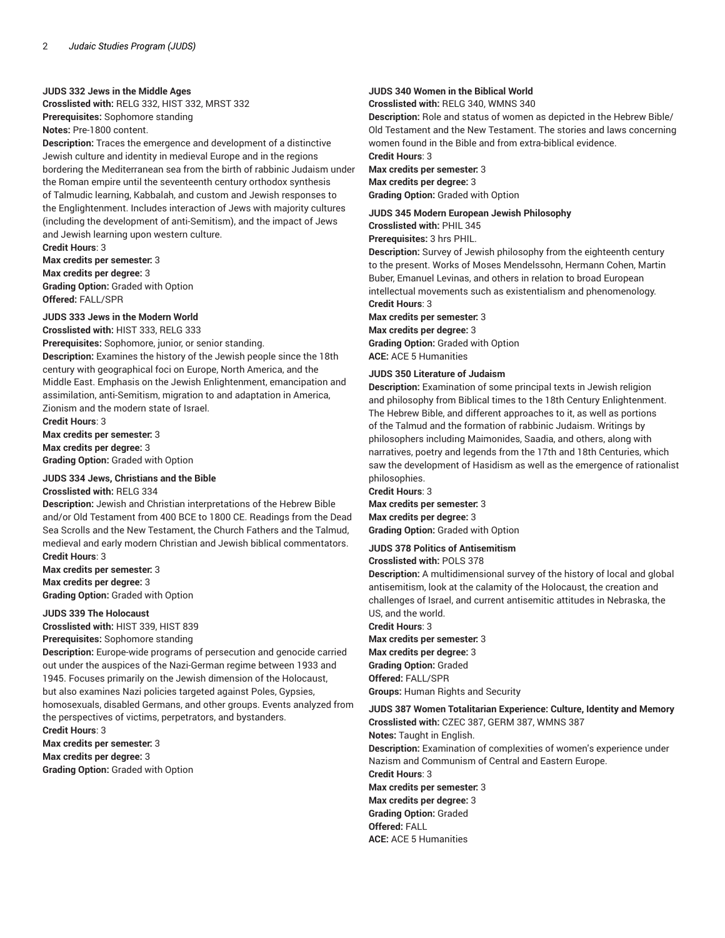#### **JUDS 332 Jews in the Middle Ages**

**Crosslisted with:** RELG 332, HIST 332, MRST 332 **Prerequisites:** Sophomore standing **Notes:** Pre-1800 content.

**Description:** Traces the emergence and development of a distinctive Jewish culture and identity in medieval Europe and in the regions bordering the Mediterranean sea from the birth of rabbinic Judaism under the Roman empire until the seventeenth century orthodox synthesis of Talmudic learning, Kabbalah, and custom and Jewish responses to the Englightenment. Includes interaction of Jews with majority cultures (including the development of anti-Semitism), and the impact of Jews and Jewish learning upon western culture.

## **Credit Hours**: 3

**Max credits per semester:** 3

**Max credits per degree:** 3 **Grading Option:** Graded with Option **Offered:** FALL/SPR

## **JUDS 333 Jews in the Modern World**

**Crosslisted with:** HIST 333, RELG 333 **Prerequisites:** Sophomore, junior, or senior standing.

**Description:** Examines the history of the Jewish people since the 18th century with geographical foci on Europe, North America, and the Middle East. Emphasis on the Jewish Enlightenment, emancipation and assimilation, anti-Semitism, migration to and adaptation in America, Zionism and the modern state of Israel.

**Credit Hours**: 3 **Max credits per semester:** 3 **Max credits per degree:** 3 **Grading Option:** Graded with Option

#### **JUDS 334 Jews, Christians and the Bible**

#### **Crosslisted with:** RELG 334

**Description:** Jewish and Christian interpretations of the Hebrew Bible and/or Old Testament from 400 BCE to 1800 CE. Readings from the Dead Sea Scrolls and the New Testament, the Church Fathers and the Talmud, medieval and early modern Christian and Jewish biblical commentators. **Credit Hours**: 3

**Max credits per semester:** 3 **Max credits per degree:** 3 **Grading Option:** Graded with Option

#### **JUDS 339 The Holocaust**

**Crosslisted with:** HIST 339, HIST 839

**Prerequisites:** Sophomore standing

**Description:** Europe-wide programs of persecution and genocide carried out under the auspices of the Nazi-German regime between 1933 and 1945. Focuses primarily on the Jewish dimension of the Holocaust, but also examines Nazi policies targeted against Poles, Gypsies, homosexuals, disabled Germans, and other groups. Events analyzed from the perspectives of victims, perpetrators, and bystanders. **Credit Hours**: 3

**Max credits per semester:** 3 **Max credits per degree:** 3 **Grading Option:** Graded with Option

# **JUDS 340 Women in the Biblical World**

**Crosslisted with:** RELG 340, WMNS 340

**Description:** Role and status of women as depicted in the Hebrew Bible/ Old Testament and the New Testament. The stories and laws concerning women found in the Bible and from extra-biblical evidence. **Credit Hours**: 3

**Max credits per semester:** 3 **Max credits per degree:** 3 **Grading Option:** Graded with Option

**JUDS 345 Modern European Jewish Philosophy Crosslisted with:** PHIL 345

**Prerequisites:** 3 hrs PHIL.

**Description:** Survey of Jewish philosophy from the eighteenth century to the present. Works of Moses Mendelssohn, Hermann Cohen, Martin Buber, Emanuel Levinas, and others in relation to broad European intellectual movements such as existentialism and phenomenology. **Credit Hours**: 3

**Max credits per semester:** 3 **Max credits per degree:** 3 **Grading Option:** Graded with Option

**ACE:** ACE 5 Humanities

## **JUDS 350 Literature of Judaism**

**Description:** Examination of some principal texts in Jewish religion and philosophy from Biblical times to the 18th Century Enlightenment. The Hebrew Bible, and different approaches to it, as well as portions of the Talmud and the formation of rabbinic Judaism. Writings by philosophers including Maimonides, Saadia, and others, along with narratives, poetry and legends from the 17th and 18th Centuries, which saw the development of Hasidism as well as the emergence of rationalist philosophies.

**Credit Hours**: 3

**Max credits per semester:** 3 **Max credits per degree:** 3 **Grading Option:** Graded with Option

## **JUDS 378 Politics of Antisemitism**

## **Crosslisted with:** POLS 378

**Description:** A multidimensional survey of the history of local and global antisemitism, look at the calamity of the Holocaust, the creation and challenges of Israel, and current antisemitic attitudes in Nebraska, the US, and the world.

**Credit Hours**: 3

**Max credits per semester:** 3 **Max credits per degree:** 3 **Grading Option:** Graded **Offered:** FALL/SPR **Groups:** Human Rights and Security

# **JUDS 387 Women Totalitarian Experience: Culture, Identity and Memory Crosslisted with:** CZEC 387, GERM 387, WMNS 387

**Notes:** Taught in English. **Description:** Examination of complexities of women's experience under Nazism and Communism of Central and Eastern Europe. **Credit Hours**: 3 **Max credits per semester:** 3 **Max credits per degree:** 3 **Grading Option:** Graded **Offered:** FALL

**ACE:** ACE 5 Humanities